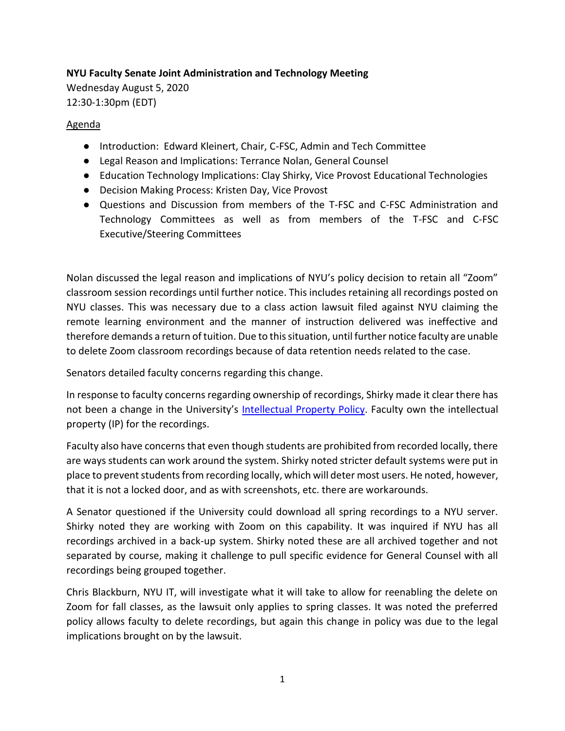## **NYU Faculty Senate Joint Administration and Technology Meeting**

Wednesday August 5, 2020 12:30-1:30pm (EDT)

## Agenda

- Introduction: Edward Kleinert, Chair, C-FSC, Admin and Tech Committee
- Legal Reason and Implications: Terrance Nolan, General Counsel
- Education Technology Implications: Clay Shirky, Vice Provost Educational Technologies
- Decision Making Process: Kristen Day, Vice Provost
- Questions and Discussion from members of the T-FSC and C-FSC Administration and Technology Committees as well as from members of the T-FSC and C-FSC Executive/Steering Committees

Nolan discussed the legal reason and implications of NYU's policy decision to retain all "Zoom" classroom session recordings until further notice. This includes retaining all recordings posted on NYU classes. This was necessary due to a class action lawsuit filed against NYU claiming the remote learning environment and the manner of instruction delivered was ineffective and therefore demands a return of tuition. Due to this situation, until further notice faculty are unable to delete Zoom classroom recordings because of data retention needs related to the case.

Senators detailed faculty concerns regarding this change.

In response to faculty concerns regarding ownership of recordings, Shirky made it clear there has not been a change in the University's [Intellectual Property Policy.](https://www.nyu.edu/about/policies-guidelines-compliance/policies-and-guidelines/policy-intellectual-property.html) Faculty own the intellectual property (IP) for the recordings.

Faculty also have concerns that even though students are prohibited from recorded locally, there are ways students can work around the system. Shirky noted stricter default systems were put in place to prevent students from recording locally, which will deter most users. He noted, however, that it is not a locked door, and as with screenshots, etc. there are workarounds.

A Senator questioned if the University could download all spring recordings to a NYU server. Shirky noted they are working with Zoom on this capability. It was inquired if NYU has all recordings archived in a back-up system. Shirky noted these are all archived together and not separated by course, making it challenge to pull specific evidence for General Counsel with all recordings being grouped together.

Chris Blackburn, NYU IT, will investigate what it will take to allow for reenabling the delete on Zoom for fall classes, as the lawsuit only applies to spring classes. It was noted the preferred policy allows faculty to delete recordings, but again this change in policy was due to the legal implications brought on by the lawsuit.